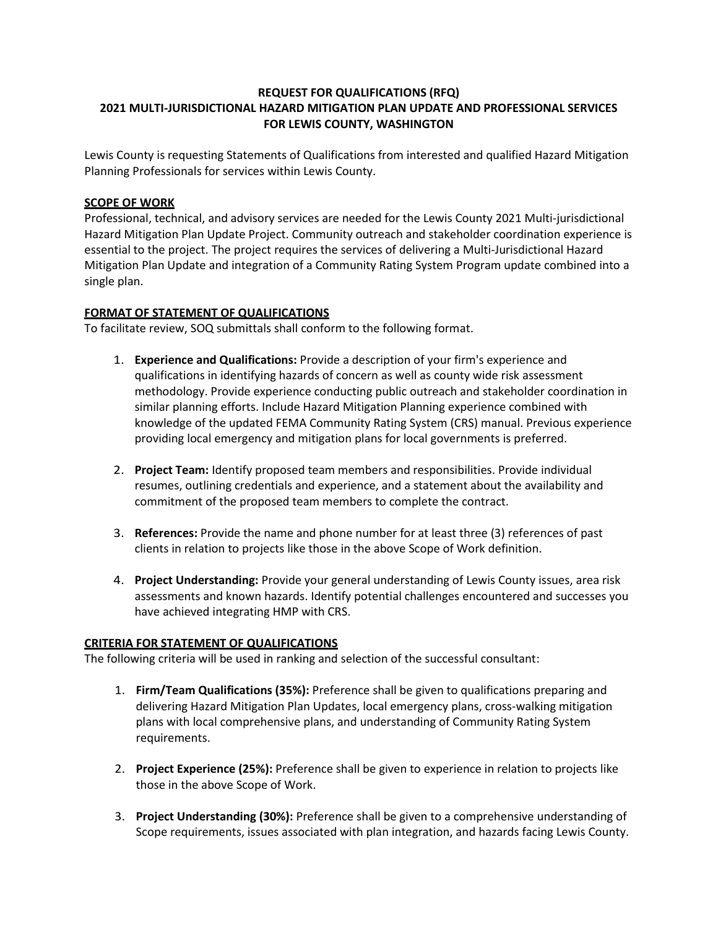# **REQUEST FOR QUALIFICATIONS (RFQ) 2021 MULTI-JURISDICTIONAL HAZARD MITIGATION PLAN UPDATE AND PROFESSIONAL SERVICES FOR LEWIS COUNTY, WASHINGTON**

Lewis County is requesting Statements of Qualifications from interested and qualified Hazard Mitigation Planning Professionals for services within Lewis County.

### **SCOPE OF WORK**

Professional, technical, and advisory services are needed for the Lewis County 2021 Multi-jurisdictional Hazard Mitigation Plan Update Project. Community outreach and stakeholder coordination experience is essential to the project. The project requires the services of delivering a Multi-Jurisdictional Hazard Mitigation Plan Update and integration of a Community Rating System Program update combined into a single plan.

### **FORMAT OF STATEMENT OF QUALIFICATIONS**

To facilitate review, SOQ submittals shall conform to the following format.

- 1. **Experience and Qualifications:** Provide a description of your firm's experience and qualifications in identifying hazards of concern as well as county wide risk assessment methodology. Provide experience conducting public outreach and stakeholder coordination in similar planning efforts. Include Hazard Mitigation Planning experience combined with knowledge of the updated FEMA Community Rating System (CRS) manual. Previous experience providing local emergency and mitigation plans for local governments is preferred.
- 2. **Project Team:** Identify proposed team members and responsibilities. Provide individual resumes, outlining credentials and experience, and a statement about the availability and commitment of the proposed team members to complete the contract.
- 3. **References:** Provide the name and phone number for at least three (3) references of past clients in relation to projects like those in the above Scope of Work definition.
- 4. **Project Understanding:** Provide your general understanding of Lewis County issues, area risk assessments and known hazards. Identify potential challenges encountered and successes you have achieved integrating HMP with CRS.

#### **CRITERIA FOR STATEMENT OF QUALIFICATIONS**

The following criteria will be used in ranking and selection of the successful consultant:

- 1. **Firm/Team Qualifications (35%):** Preference shall be given to qualifications preparing and delivering Hazard Mitigation Plan Updates, local emergency plans, cross-walking mitigation plans with local comprehensive plans, and understanding of Community Rating System requirements.
- 2. **Project Experience (25%):** Preference shall be given to experience in relation to projects like those in the above Scope of Work.
- 3. **Project Understanding (30%):** Preference shall be given to a comprehensive understanding of Scope requirements, issues associated with plan integration, and hazards facing Lewis County.